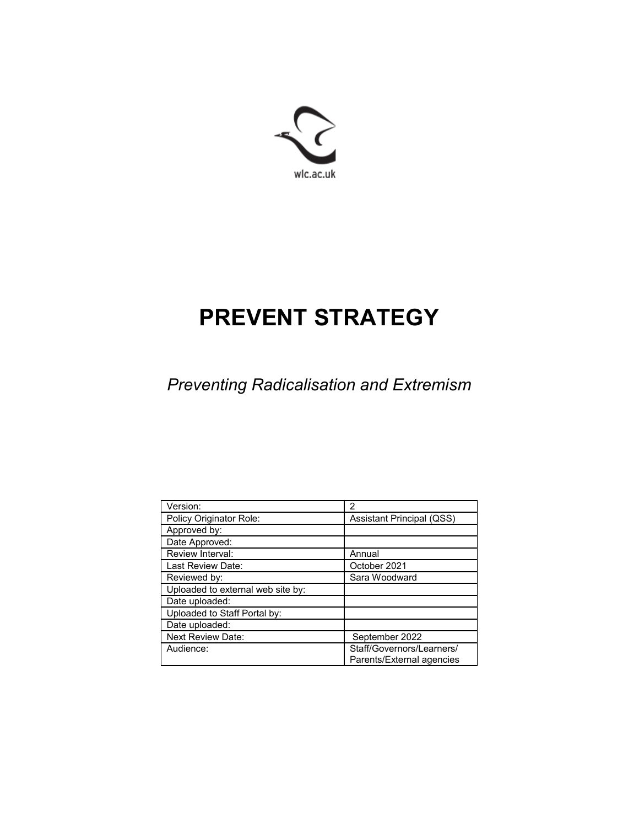

# **PREVENT STRATEGY**

*Preventing Radicalisation and Extremism*

| Version:                          | 2                                |
|-----------------------------------|----------------------------------|
| Policy Originator Role:           | <b>Assistant Principal (QSS)</b> |
| Approved by:                      |                                  |
| Date Approved:                    |                                  |
| Review Interval:                  | Annual                           |
| Last Review Date:                 | October 2021                     |
| Reviewed by:                      | Sara Woodward                    |
| Uploaded to external web site by: |                                  |
| Date uploaded:                    |                                  |
| Uploaded to Staff Portal by:      |                                  |
| Date uploaded:                    |                                  |
| <b>Next Review Date:</b>          | September 2022                   |
| Audience:                         | Staff/Governors/Learners/        |
|                                   | Parents/External agencies        |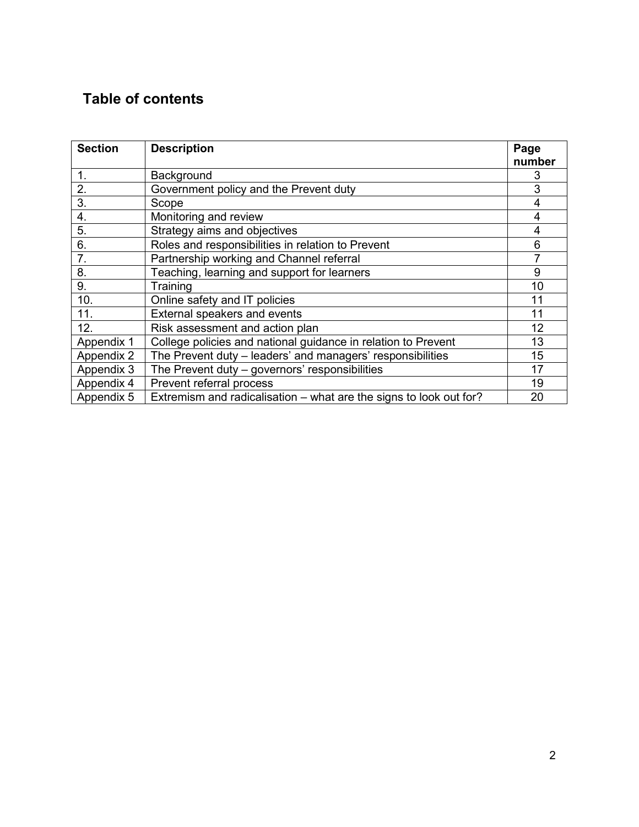## **Table of contents**

| <b>Section</b> | <b>Description</b>                                                 | Page<br>number |
|----------------|--------------------------------------------------------------------|----------------|
| 1.             | Background                                                         | 3              |
| 2.             | Government policy and the Prevent duty                             | 3              |
| $3-$           | Scope                                                              | 4              |
| 4.             | Monitoring and review                                              | $\overline{4}$ |
| 5.             | Strategy aims and objectives                                       | 4              |
| 6.             | Roles and responsibilities in relation to Prevent                  | 6              |
| 7.             | Partnership working and Channel referral                           | 7              |
| 8.             | Teaching, learning and support for learners                        | 9              |
| 9.             | Training                                                           | 10             |
| 10.            | Online safety and IT policies                                      | 11             |
| 11.            | External speakers and events                                       | 11             |
| 12.            | Risk assessment and action plan                                    | 12             |
| Appendix 1     | College policies and national guidance in relation to Prevent      | 13             |
| Appendix 2     | The Prevent duty - leaders' and managers' responsibilities         | 15             |
| Appendix 3     | The Prevent duty - governors' responsibilities                     | 17             |
| Appendix 4     | Prevent referral process                                           | 19             |
| Appendix 5     | Extremism and radicalisation – what are the signs to look out for? | 20             |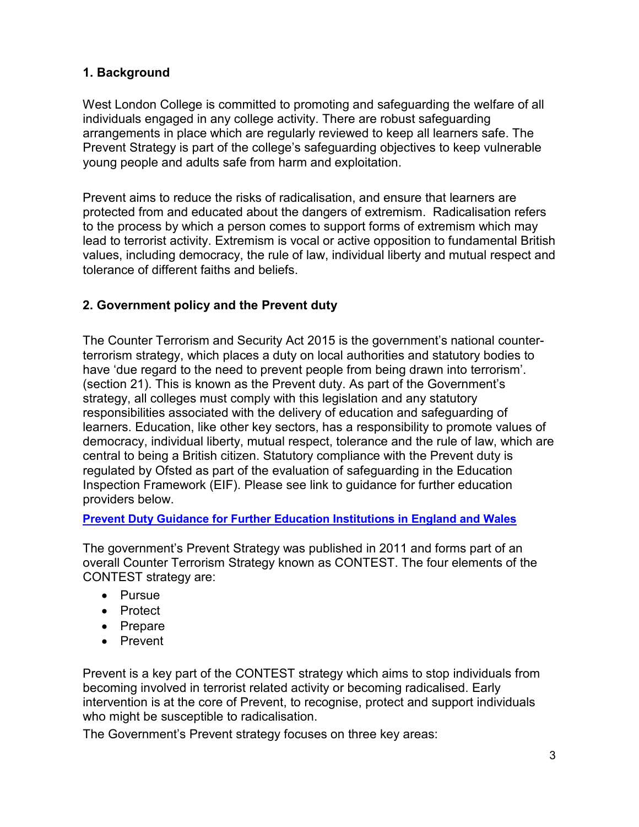## **1. Background**

West London College is committed to promoting and safeguarding the welfare of all individuals engaged in any college activity. There are robust safeguarding arrangements in place which are regularly reviewed to keep all learners safe. The Prevent Strategy is part of the college's safeguarding objectives to keep vulnerable young people and adults safe from harm and exploitation.

Prevent aims to reduce the risks of radicalisation, and ensure that learners are protected from and educated about the dangers of extremism. Radicalisation refers to the process by which a person comes to support forms of extremism which may lead to terrorist activity. Extremism is vocal or active opposition to fundamental British values, including democracy, the rule of law, individual liberty and mutual respect and tolerance of different faiths and beliefs.

## **2. Government policy and the Prevent duty**

The Counter Terrorism and Security Act 2015 is the government's national counterterrorism strategy, which places a duty on local authorities and statutory bodies to have 'due regard to the need to prevent people from being drawn into terrorism'. (section 21). This is known as the Prevent duty. As part of the Government's strategy, all colleges must comply with this legislation and any statutory responsibilities associated with the delivery of education and safeguarding of learners. Education, like other key sectors, has a responsibility to promote values of democracy, individual liberty, mutual respect, tolerance and the rule of law, which are central to being a British citizen. Statutory compliance with the Prevent duty is regulated by Ofsted as part of the evaluation of safeguarding in the Education Inspection Framework (EIF). Please see link to guidance for further education providers below.

#### **[Prevent Duty Guidance for Further Education Institutions in England and Wales](https://www.gov.uk/government/publications/prevent-duty-guidance/prevent-duty-guidance-for-further-education-institutions-in-england-and-wales)**

The government's Prevent Strategy was published in 2011 and forms part of an overall Counter Terrorism Strategy known as CONTEST. The four elements of the CONTEST strategy are:

- Pursue
- Protect
- Prepare
- Prevent

Prevent is a key part of the CONTEST strategy which aims to stop individuals from becoming involved in terrorist related activity or becoming radicalised. Early intervention is at the core of Prevent, to recognise, protect and support individuals who might be susceptible to radicalisation.

The Government's Prevent strategy focuses on three key areas: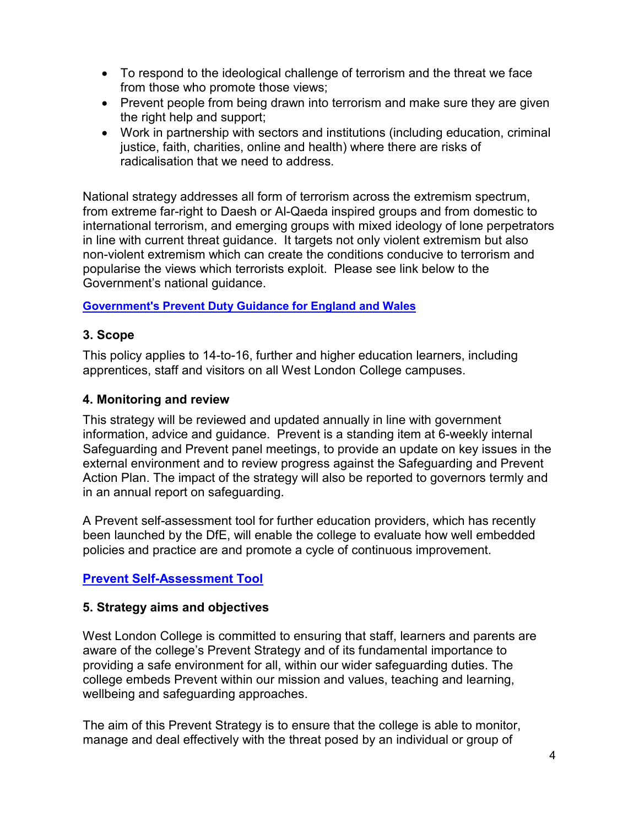- To respond to the ideological challenge of terrorism and the threat we face from those who promote those views;
- Prevent people from being drawn into terrorism and make sure they are given the right help and support;
- Work in partnership with sectors and institutions (including education, criminal justice, faith, charities, online and health) where there are risks of radicalisation that we need to address.

National strategy addresses all form of terrorism across the extremism spectrum, from extreme far-right to Daesh or Al-Qaeda inspired groups and from domestic to international terrorism, and emerging groups with mixed ideology of lone perpetrators in line with current threat guidance. It targets not only violent extremism but also non-violent extremism which can create the conditions conducive to terrorism and popularise the views which terrorists exploit. Please see link below to the Government's national guidance.

#### **[Government's Prevent Duty Guidance for England and Wales](https://www.gov.uk/government/publications/prevent-duty-guidance/revised-prevent-duty-guidance-for-england-and-wales)**

#### **3. Scope**

This policy applies to 14-to-16, further and higher education learners, including apprentices, staff and visitors on all West London College campuses.

#### **4. Monitoring and review**

This strategy will be reviewed and updated annually in line with government information, advice and guidance. Prevent is a standing item at 6-weekly internal Safeguarding and Prevent panel meetings, to provide an update on key issues in the external environment and to review progress against the Safeguarding and Prevent Action Plan. The impact of the strategy will also be reported to governors termly and in an annual report on safeguarding.

A Prevent self-assessment tool for further education providers, which has recently been launched by the DfE, will enable the college to evaluate how well embedded policies and practice are and promote a cycle of continuous improvement.

#### **[Prevent Self-Assessment Tool](https://www.gov.uk/government/publications/prevent-duty-self-assessment-tool-further-education?utm_source=SA+for+FE&utm_medium=FEHE+Coordinators&utm_campaign=CED)**

#### **5. Strategy aims and objectives**

West London College is committed to ensuring that staff, learners and parents are aware of the college's Prevent Strategy and of its fundamental importance to providing a safe environment for all, within our wider safeguarding duties. The college embeds Prevent within our mission and values, teaching and learning, wellbeing and safeguarding approaches.

The aim of this Prevent Strategy is to ensure that the college is able to monitor, manage and deal effectively with the threat posed by an individual or group of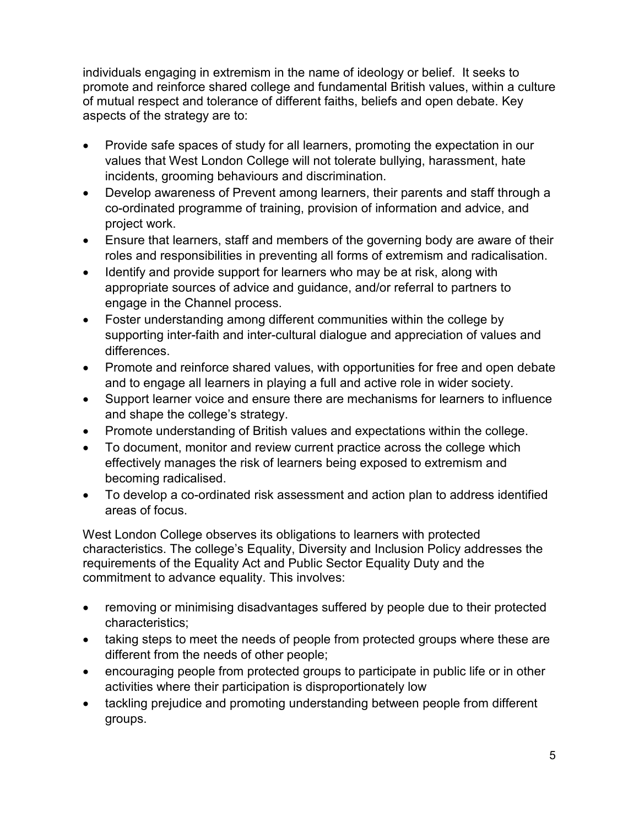individuals engaging in extremism in the name of ideology or belief. It seeks to promote and reinforce shared college and fundamental British values, within a culture of mutual respect and tolerance of different faiths, beliefs and open debate. Key aspects of the strategy are to:

- Provide safe spaces of study for all learners, promoting the expectation in our values that West London College will not tolerate bullying, harassment, hate incidents, grooming behaviours and discrimination.
- Develop awareness of Prevent among learners, their parents and staff through a co-ordinated programme of training, provision of information and advice, and project work.
- Ensure that learners, staff and members of the governing body are aware of their roles and responsibilities in preventing all forms of extremism and radicalisation.
- Identify and provide support for learners who may be at risk, along with appropriate sources of advice and guidance, and/or referral to partners to engage in the Channel process.
- Foster understanding among different communities within the college by supporting inter-faith and inter-cultural dialogue and appreciation of values and differences.
- Promote and reinforce shared values, with opportunities for free and open debate and to engage all learners in playing a full and active role in wider society.
- Support learner voice and ensure there are mechanisms for learners to influence and shape the college's strategy.
- Promote understanding of British values and expectations within the college.
- To document, monitor and review current practice across the college which effectively manages the risk of learners being exposed to extremism and becoming radicalised.
- To develop a co-ordinated risk assessment and action plan to address identified areas of focus.

West London College observes its obligations to learners with protected characteristics. The college's Equality, Diversity and Inclusion Policy addresses the requirements of the Equality Act and Public Sector Equality Duty and the commitment to advance equality. This involves:

- removing or minimising disadvantages suffered by people due to their protected characteristics;
- taking steps to meet the needs of people from protected groups where these are different from the needs of other people;
- encouraging people from protected groups to participate in public life or in other activities where their participation is disproportionately low
- tackling prejudice and promoting understanding between people from different groups.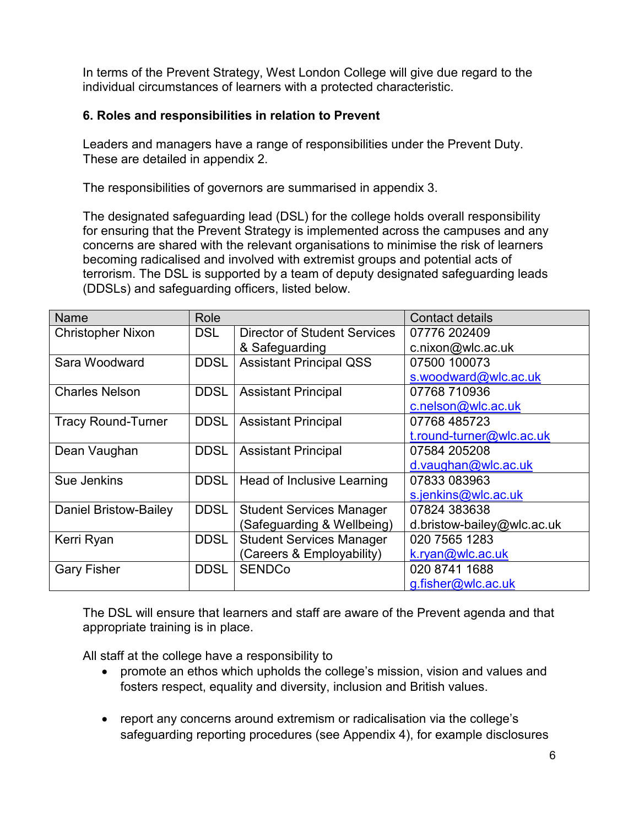In terms of the Prevent Strategy, West London College will give due regard to the individual circumstances of learners with a protected characteristic.

#### **6. Roles and responsibilities in relation to Prevent**

Leaders and managers have a range of responsibilities under the Prevent Duty. These are detailed in appendix 2.

The responsibilities of governors are summarised in appendix 3.

The designated safeguarding lead (DSL) for the college holds overall responsibility for ensuring that the Prevent Strategy is implemented across the campuses and any concerns are shared with the relevant organisations to minimise the risk of learners becoming radicalised and involved with extremist groups and potential acts of terrorism. The DSL is supported by a team of deputy designated safeguarding leads (DDSLs) and safeguarding officers, listed below.

| Name                      | Role        |                                     | <b>Contact details</b>     |
|---------------------------|-------------|-------------------------------------|----------------------------|
| <b>Christopher Nixon</b>  | <b>DSL</b>  | <b>Director of Student Services</b> | 07776 202409               |
|                           |             | & Safeguarding                      | c.nixon@wlc.ac.uk          |
| Sara Woodward             | <b>DDSL</b> | <b>Assistant Principal QSS</b>      | 07500 100073               |
|                           |             |                                     | s.woodward@wlc.ac.uk       |
| <b>Charles Nelson</b>     | <b>DDSL</b> | <b>Assistant Principal</b>          | 07768 710936               |
|                           |             |                                     | c.nelson@wlc.ac.uk         |
| <b>Tracy Round-Turner</b> | <b>DDSL</b> | <b>Assistant Principal</b>          | 07768 485723               |
|                           |             |                                     | t.round-turner@wlc.ac.uk   |
| Dean Vaughan              | <b>DDSL</b> | <b>Assistant Principal</b>          | 07584 205208               |
|                           |             |                                     | d.vaughan@wlc.ac.uk        |
| Sue Jenkins               | <b>DDSL</b> | Head of Inclusive Learning          | 07833 083963               |
|                           |             |                                     | s.jenkins@wlc.ac.uk        |
| Daniel Bristow-Bailey     | <b>DDSL</b> | <b>Student Services Manager</b>     | 07824 383638               |
|                           |             | (Safeguarding & Wellbeing)          | d.bristow-bailey@wlc.ac.uk |
| Kerri Ryan                | <b>DDSL</b> | <b>Student Services Manager</b>     | 020 7565 1283              |
|                           |             | (Careers & Employability)           | k.ryan@wlc.ac.uk           |
| <b>Gary Fisher</b>        | <b>DDSL</b> | <b>SENDCo</b>                       | 020 8741 1688              |
|                           |             |                                     | g.fisher@wlc.ac.uk         |

The DSL will ensure that learners and staff are aware of the Prevent agenda and that appropriate training is in place.

All staff at the college have a responsibility to

- promote an ethos which upholds the college's mission, vision and values and fosters respect, equality and diversity, inclusion and British values.
- report any concerns around extremism or radicalisation via the college's safeguarding reporting procedures (see Appendix 4), for example disclosures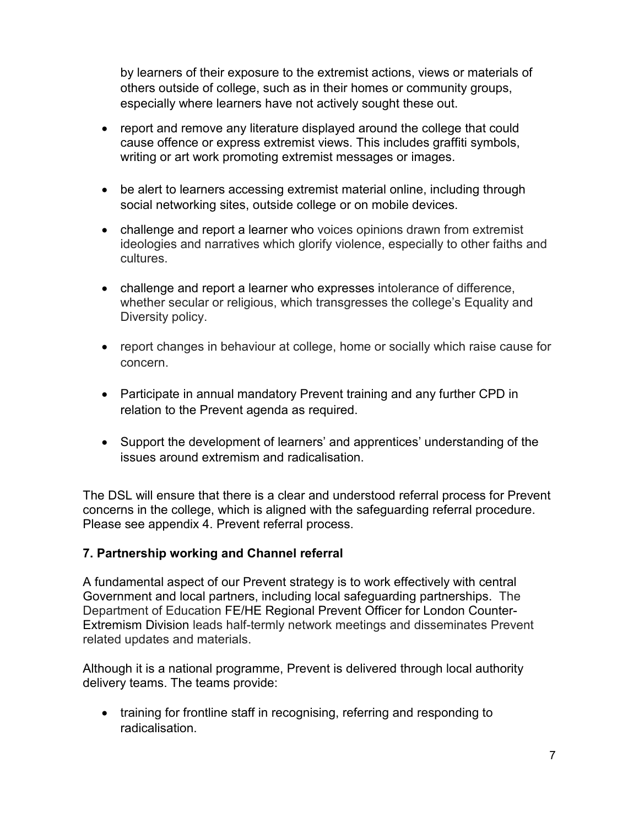by learners of their exposure to the extremist actions, views or materials of others outside of college, such as in their homes or community groups, especially where learners have not actively sought these out.

- report and remove any literature displayed around the college that could cause offence or express extremist views. This includes graffiti symbols, writing or art work promoting extremist messages or images.
- be alert to learners accessing extremist material online, including through social networking sites, outside college or on mobile devices.
- challenge and report a learner who voices opinions drawn from extremist ideologies and narratives which glorify violence, especially to other faiths and cultures.
- challenge and report a learner who expresses intolerance of difference, whether secular or religious, which transgresses the college's Equality and Diversity policy.
- report changes in behaviour at college, home or socially which raise cause for concern.
- Participate in annual mandatory Prevent training and any further CPD in relation to the Prevent agenda as required.
- Support the development of learners' and apprentices' understanding of the issues around extremism and radicalisation.

The DSL will ensure that there is a clear and understood referral process for Prevent concerns in the college, which is aligned with the safeguarding referral procedure. Please see appendix 4. Prevent referral process.

#### **7. Partnership working and Channel referral**

A fundamental aspect of our Prevent strategy is to work effectively with central Government and local partners, including local safeguarding partnerships. The Department of Education FE/HE Regional Prevent Officer for London Counter-Extremism Division leads half-termly network meetings and disseminates Prevent related updates and materials.

Although it is a national programme, Prevent is delivered through local authority delivery teams. The teams provide:

• training for frontline staff in recognising, referring and responding to radicalisation.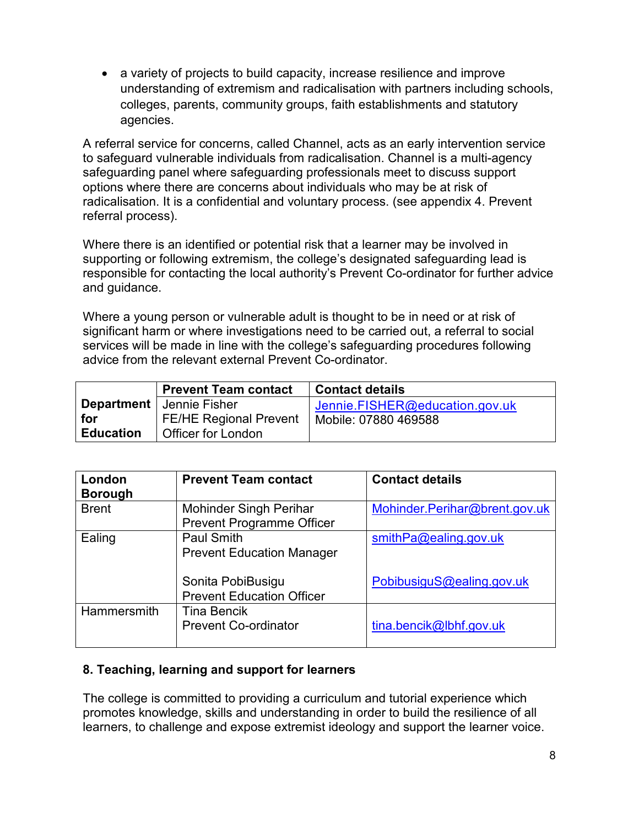• a variety of projects to build capacity, increase resilience and improve understanding of extremism and radicalisation with partners including schools, colleges, parents, community groups, faith establishments and statutory agencies.

A referral service for concerns, called Channel, acts as an early intervention service to safeguard vulnerable individuals from radicalisation. Channel is a multi-agency safeguarding panel where safeguarding professionals meet to discuss support options where there are concerns about individuals who may be at risk of radicalisation. It is a confidential and voluntary process. (see appendix 4. Prevent referral process).

Where there is an identified or potential risk that a learner may be involved in supporting or following extremism, the college's designated safeguarding lead is responsible for contacting the local authority's Prevent Co-ordinator for further advice and guidance.

Where a young person or vulnerable adult is thought to be in need or at risk of significant harm or where investigations need to be carried out, a referral to social services will be made in line with the college's safeguarding procedures following advice from the relevant external Prevent Co-ordinator.

|                         | <b>Prevent Team contact</b>                         | <b>Contact details</b>         |
|-------------------------|-----------------------------------------------------|--------------------------------|
|                         | <b>Department</b>   Jennie Fisher                   | Jennie.FISHER@education.gov.uk |
| for<br><b>Education</b> | <b>FE/HE Regional Prevent</b><br>Officer for London | Mobile: 07880 469588           |

| London<br><b>Borough</b> | <b>Prevent Team contact</b>                                       | <b>Contact details</b>        |
|--------------------------|-------------------------------------------------------------------|-------------------------------|
| <b>Brent</b>             | <b>Mohinder Singh Perihar</b><br><b>Prevent Programme Officer</b> | Mohinder.Perihar@brent.gov.uk |
| Ealing                   | <b>Paul Smith</b><br><b>Prevent Education Manager</b>             | $s$ mithPa@ealing.gov.uk      |
|                          | Sonita PobiBusigu<br><b>Prevent Education Officer</b>             | PobibusiguS@ealing.gov.uk     |
| <b>Hammersmith</b>       | <b>Tina Bencik</b><br><b>Prevent Co-ordinator</b>                 | tina.bencik@lbhf.gov.uk       |

#### **8. Teaching, learning and support for learners**

The college is committed to providing a curriculum and tutorial experience which promotes knowledge, skills and understanding in order to build the resilience of all learners, to challenge and expose extremist ideology and support the learner voice.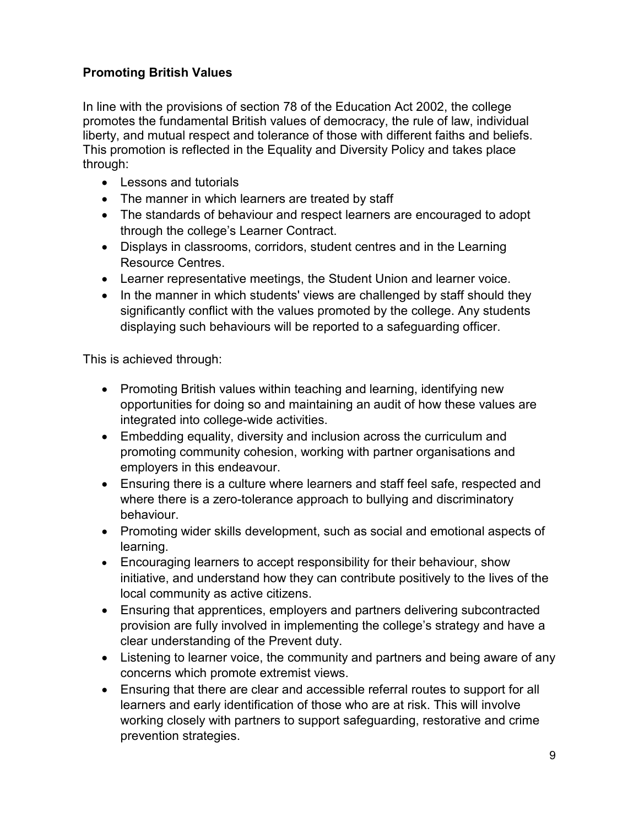## **Promoting British Values**

In line with the provisions of section 78 of the Education Act 2002, the college promotes the fundamental British values of democracy, the rule of law, individual liberty, and mutual respect and tolerance of those with different faiths and beliefs. This promotion is reflected in the Equality and Diversity Policy and takes place through:

- Lessons and tutorials
- The manner in which learners are treated by staff
- The standards of behaviour and respect learners are encouraged to adopt through the college's Learner Contract.
- Displays in classrooms, corridors, student centres and in the Learning Resource Centres.
- Learner representative meetings, the Student Union and learner voice.
- In the manner in which students' views are challenged by staff should they significantly conflict with the values promoted by the college. Any students displaying such behaviours will be reported to a safeguarding officer.

This is achieved through:

- Promoting British values within teaching and learning, identifying new opportunities for doing so and maintaining an audit of how these values are integrated into college-wide activities.
- Embedding equality, diversity and inclusion across the curriculum and promoting community cohesion, working with partner organisations and employers in this endeavour.
- Ensuring there is a culture where learners and staff feel safe, respected and where there is a zero-tolerance approach to bullying and discriminatory behaviour.
- Promoting wider skills development, such as social and emotional aspects of learning.
- Encouraging learners to accept responsibility for their behaviour, show initiative, and understand how they can contribute positively to the lives of the local community as active citizens.
- Ensuring that apprentices, employers and partners delivering subcontracted provision are fully involved in implementing the college's strategy and have a clear understanding of the Prevent duty.
- Listening to learner voice, the community and partners and being aware of any concerns which promote extremist views.
- Ensuring that there are clear and accessible referral routes to support for all learners and early identification of those who are at risk. This will involve working closely with partners to support safeguarding, restorative and crime prevention strategies.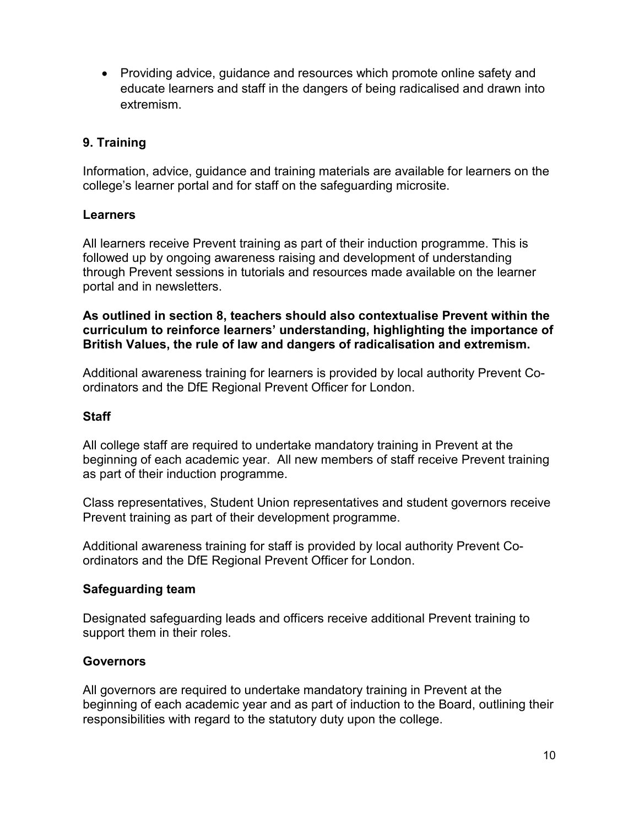• Providing advice, guidance and resources which promote online safety and educate learners and staff in the dangers of being radicalised and drawn into extremism.

## **9. Training**

Information, advice, guidance and training materials are available for learners on the college's learner portal and for staff on the safeguarding microsite.

#### **Learners**

All learners receive Prevent training as part of their induction programme. This is followed up by ongoing awareness raising and development of understanding through Prevent sessions in tutorials and resources made available on the learner portal and in newsletters.

**As outlined in section 8, teachers should also contextualise Prevent within the curriculum to reinforce learners' understanding, highlighting the importance of British Values, the rule of law and dangers of radicalisation and extremism.**

Additional awareness training for learners is provided by local authority Prevent Coordinators and the DfE Regional Prevent Officer for London.

#### **Staff**

All college staff are required to undertake mandatory training in Prevent at the beginning of each academic year. All new members of staff receive Prevent training as part of their induction programme.

Class representatives, Student Union representatives and student governors receive Prevent training as part of their development programme.

Additional awareness training for staff is provided by local authority Prevent Coordinators and the DfE Regional Prevent Officer for London.

#### **Safeguarding team**

Designated safeguarding leads and officers receive additional Prevent training to support them in their roles.

#### **Governors**

All governors are required to undertake mandatory training in Prevent at the beginning of each academic year and as part of induction to the Board, outlining their responsibilities with regard to the statutory duty upon the college.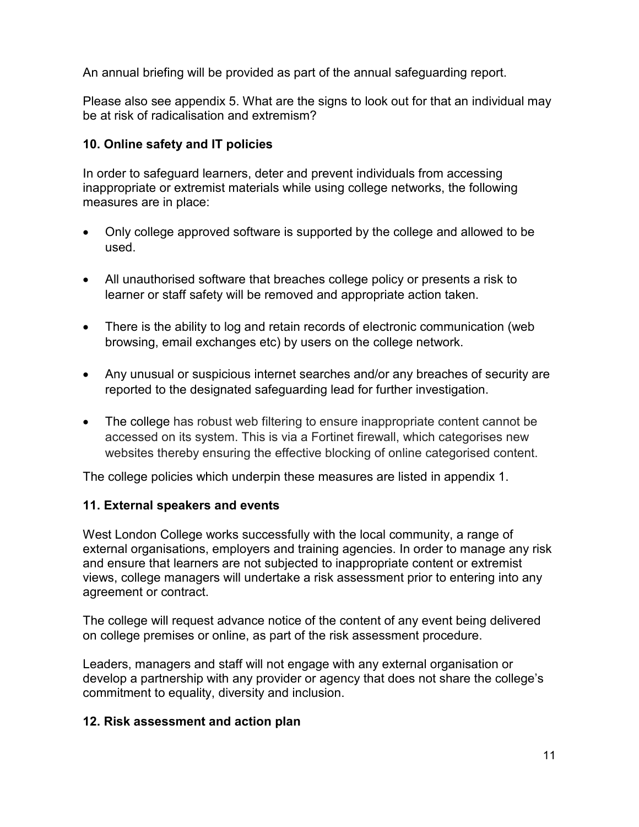An annual briefing will be provided as part of the annual safeguarding report.

Please also see appendix 5. What are the signs to look out for that an individual may be at risk of radicalisation and extremism?

## **10. Online safety and IT policies**

In order to safeguard learners, deter and prevent individuals from accessing inappropriate or extremist materials while using college networks, the following measures are in place:

- Only college approved software is supported by the college and allowed to be used.
- All unauthorised software that breaches college policy or presents a risk to learner or staff safety will be removed and appropriate action taken.
- There is the ability to log and retain records of electronic communication (web browsing, email exchanges etc) by users on the college network.
- Any unusual or suspicious internet searches and/or any breaches of security are reported to the designated safeguarding lead for further investigation.
- The college has robust web filtering to ensure inappropriate content cannot be accessed on its system. This is via a Fortinet firewall, which categorises new websites thereby ensuring the effective blocking of online categorised content.

The college policies which underpin these measures are listed in appendix 1.

#### **11. External speakers and events**

West London College works successfully with the local community, a range of external organisations, employers and training agencies. In order to manage any risk and ensure that learners are not subjected to inappropriate content or extremist views, college managers will undertake a risk assessment prior to entering into any agreement or contract.

The college will request advance notice of the content of any event being delivered on college premises or online, as part of the risk assessment procedure.

Leaders, managers and staff will not engage with any external organisation or develop a partnership with any provider or agency that does not share the college's commitment to equality, diversity and inclusion.

#### **12. Risk assessment and action plan**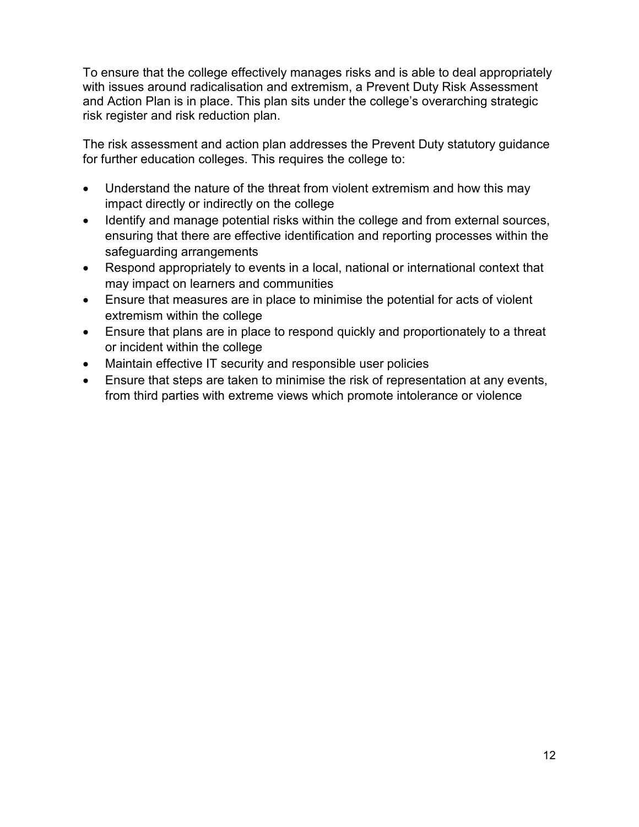To ensure that the college effectively manages risks and is able to deal appropriately with issues around radicalisation and extremism, a Prevent Duty Risk Assessment and Action Plan is in place. This plan sits under the college's overarching strategic risk register and risk reduction plan.

The risk assessment and action plan addresses the Prevent Duty statutory guidance for further education colleges. This requires the college to:

- Understand the nature of the threat from violent extremism and how this may impact directly or indirectly on the college
- Identify and manage potential risks within the college and from external sources, ensuring that there are effective identification and reporting processes within the safeguarding arrangements
- Respond appropriately to events in a local, national or international context that may impact on learners and communities
- Ensure that measures are in place to minimise the potential for acts of violent extremism within the college
- Ensure that plans are in place to respond quickly and proportionately to a threat or incident within the college
- Maintain effective IT security and responsible user policies
- Ensure that steps are taken to minimise the risk of representation at any events, from third parties with extreme views which promote intolerance or violence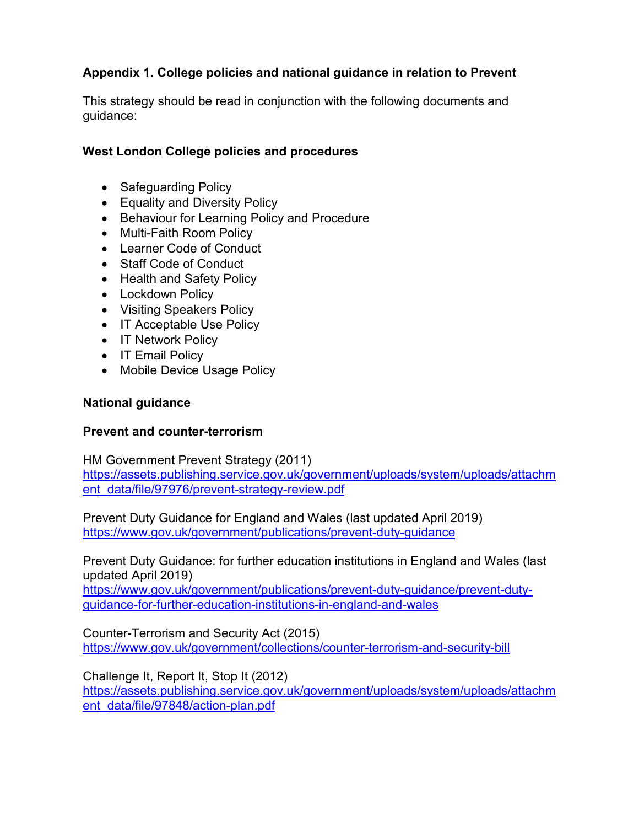## **Appendix 1. College policies and national guidance in relation to Prevent**

This strategy should be read in conjunction with the following documents and guidance:

#### **West London College policies and procedures**

- Safeguarding Policy
- Equality and Diversity Policy
- Behaviour for Learning Policy and Procedure
- Multi-Faith Room Policy
- Learner Code of Conduct
- Staff Code of Conduct
- Health and Safety Policy
- Lockdown Policy
- Visiting Speakers Policy
- IT Acceptable Use Policy
- IT Network Policy
- IT Email Policy
- Mobile Device Usage Policy

#### **National guidance**

#### **Prevent and counter-terrorism**

HM Government Prevent Strategy (2011)

[https://assets.publishing.service.gov.uk/government/uploads/system/uploads/attachm](https://assets.publishing.service.gov.uk/government/uploads/system/uploads/attachment_data/file/97976/prevent-strategy-review.pdf) [ent\\_data/file/97976/prevent-strategy-review.pdf](https://assets.publishing.service.gov.uk/government/uploads/system/uploads/attachment_data/file/97976/prevent-strategy-review.pdf)

Prevent Duty Guidance for England and Wales (last updated April 2019) <https://www.gov.uk/government/publications/prevent-duty-guidance>

Prevent Duty Guidance: for further education institutions in England and Wales (last updated April 2019)

[https://www.gov.uk/government/publications/prevent-duty-guidance/prevent-duty](https://www.gov.uk/government/publications/prevent-duty-guidance/prevent-duty-guidance-for-further-education-institutions-in-england-and-wales)[guidance-for-further-education-institutions-in-england-and-wales](https://www.gov.uk/government/publications/prevent-duty-guidance/prevent-duty-guidance-for-further-education-institutions-in-england-and-wales)

Counter-Terrorism and Security Act (2015) <https://www.gov.uk/government/collections/counter-terrorism-and-security-bill>

Challenge It, Report It, Stop It (2012)

[https://assets.publishing.service.gov.uk/government/uploads/system/uploads/attachm](https://assets.publishing.service.gov.uk/government/uploads/system/uploads/attachment_data/file/97848/action-plan.pdf) [ent\\_data/file/97848/action-plan.pdf](https://assets.publishing.service.gov.uk/government/uploads/system/uploads/attachment_data/file/97848/action-plan.pdf)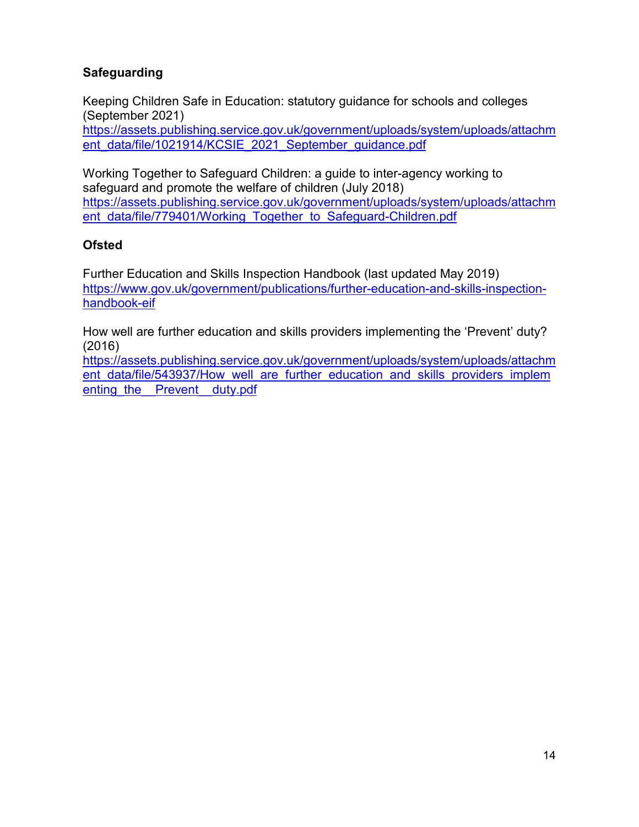## **Safeguarding**

Keeping Children Safe in Education: statutory guidance for schools and colleges (September 2021) [https://assets.publishing.service.gov.uk/government/uploads/system/uploads/attachm](https://assets.publishing.service.gov.uk/government/uploads/system/uploads/attachment_data/file/1021914/KCSIE_2021_September_guidance.pdf)

[ent\\_data/file/1021914/KCSIE\\_2021\\_September\\_guidance.pdf](https://assets.publishing.service.gov.uk/government/uploads/system/uploads/attachment_data/file/1021914/KCSIE_2021_September_guidance.pdf)

Working Together to Safeguard Children: a guide to inter-agency working to safeguard and promote the welfare of children (July 2018) [https://assets.publishing.service.gov.uk/government/uploads/system/uploads/attachm](https://assets.publishing.service.gov.uk/government/uploads/system/uploads/attachment_data/file/779401/Working_Together_to_Safeguard-Children.pdf) [ent\\_data/file/779401/Working\\_Together\\_to\\_Safeguard-Children.pdf](https://assets.publishing.service.gov.uk/government/uploads/system/uploads/attachment_data/file/779401/Working_Together_to_Safeguard-Children.pdf)

#### **Ofsted**

Further Education and Skills Inspection Handbook (last updated May 2019) [https://www.gov.uk/government/publications/further-education-and-skills-inspection](https://www.gov.uk/government/publications/further-education-and-skills-inspection-handbook-eif)[handbook-eif](https://www.gov.uk/government/publications/further-education-and-skills-inspection-handbook-eif)

How well are further education and skills providers implementing the 'Prevent' duty? (2016)

[https://assets.publishing.service.gov.uk/government/uploads/system/uploads/attachm](https://assets.publishing.service.gov.uk/government/uploads/system/uploads/attachment_data/file/543937/How_well_are_further_education_and_skills_providers_implementing_the__Prevent__duty.pdf) ent data/file/543937/How well are further education and skills providers implem enting the Prevent duty.pdf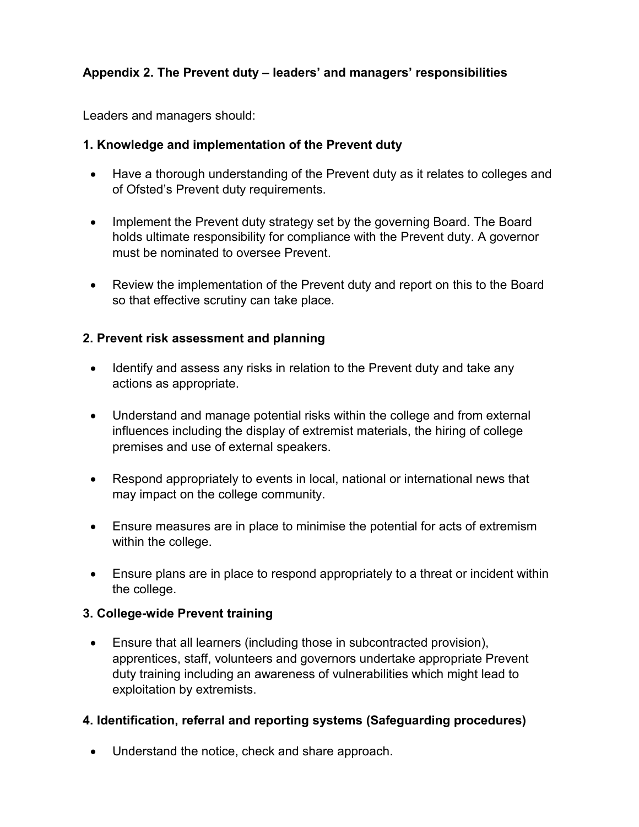## **Appendix 2. The Prevent duty – leaders' and managers' responsibilities**

Leaders and managers should:

#### **1. Knowledge and implementation of the Prevent duty**

- Have a thorough understanding of the Prevent duty as it relates to colleges and of Ofsted's Prevent duty requirements.
- Implement the Prevent duty strategy set by the governing Board. The Board holds ultimate responsibility for compliance with the Prevent duty. A governor must be nominated to oversee Prevent.
- Review the implementation of the Prevent duty and report on this to the Board so that effective scrutiny can take place.

#### **2. Prevent risk assessment and planning**

- Identify and assess any risks in relation to the Prevent duty and take any actions as appropriate.
- Understand and manage potential risks within the college and from external influences including the display of extremist materials, the hiring of college premises and use of external speakers.
- Respond appropriately to events in local, national or international news that may impact on the college community.
- Ensure measures are in place to minimise the potential for acts of extremism within the college.
- Ensure plans are in place to respond appropriately to a threat or incident within the college.

#### **3. College-wide Prevent training**

• Ensure that all learners (including those in subcontracted provision), apprentices, staff, volunteers and governors undertake appropriate Prevent duty training including an awareness of vulnerabilities which might lead to exploitation by extremists.

#### **4. Identification, referral and reporting systems (Safeguarding procedures)**

• Understand the notice, check and share approach.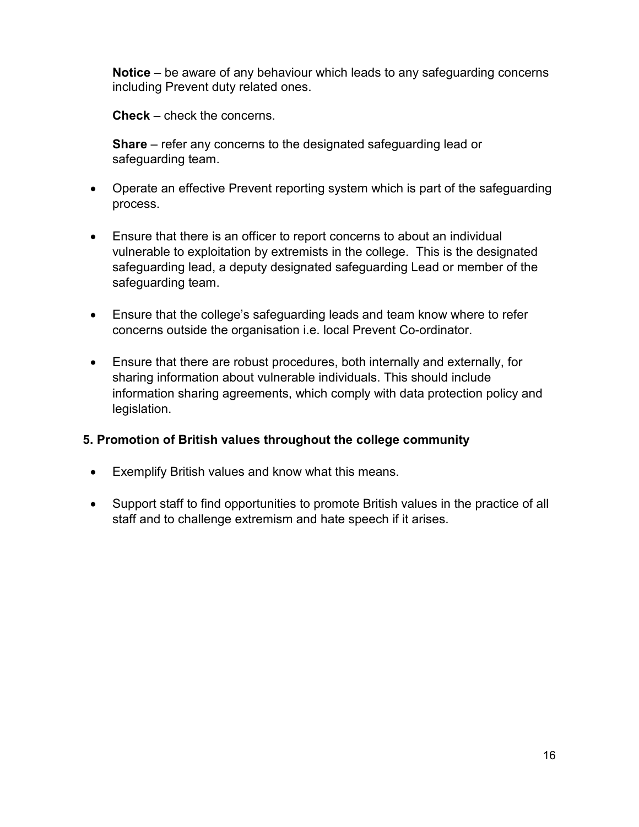**Notice** – be aware of any behaviour which leads to any safeguarding concerns including Prevent duty related ones.

**Check** – check the concerns.

**Share** – refer any concerns to the designated safeguarding lead or safeguarding team.

- Operate an effective Prevent reporting system which is part of the safeguarding process.
- Ensure that there is an officer to report concerns to about an individual vulnerable to exploitation by extremists in the college. This is the designated safeguarding lead, a deputy designated safeguarding Lead or member of the safeguarding team.
- Ensure that the college's safeguarding leads and team know where to refer concerns outside the organisation i.e. local Prevent Co-ordinator.
- Ensure that there are robust procedures, both internally and externally, for sharing information about vulnerable individuals. This should include information sharing agreements, which comply with data protection policy and legislation.

#### **5. Promotion of British values throughout the college community**

- Exemplify British values and know what this means.
- Support staff to find opportunities to promote British values in the practice of all staff and to challenge extremism and hate speech if it arises.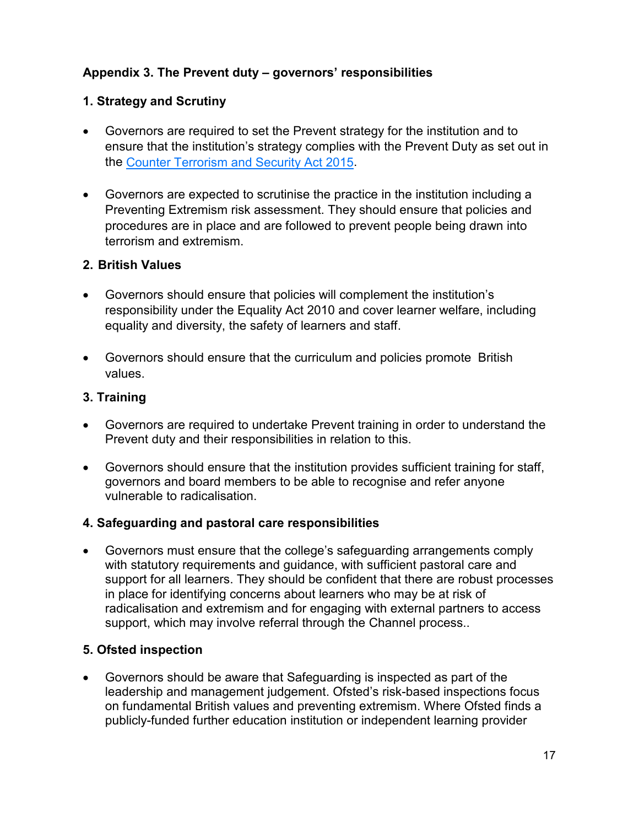## **Appendix 3. The Prevent duty – governors' responsibilities**

#### **1. Strategy and Scrutiny**

- Governors are required to set the Prevent strategy for the institution and to ensure that the institution's strategy complies with the Prevent Duty as set out in the Counter [Terrorism](http://www.legislation.gov.uk/ukpga/2015/6/contents/enacted) and Security Act 2015.
- Governors are expected to scrutinise the practice in the institution including a Preventing Extremism risk assessment. They should ensure that policies and procedures are in place and are followed to prevent people being drawn into terrorism and extremism.

#### **2. British Values**

- Governors should ensure that policies will complement the institution's responsibility under the Equality Act 2010 and cover learner welfare, including equality and diversity, the safety of learners and staff.
- Governors should ensure that the curriculum and policies promote British values.

#### **3. Training**

- Governors are required to undertake Prevent training in order to understand the Prevent duty and their responsibilities in relation to this.
- Governors should ensure that the institution provides sufficient training for staff, governors and board members to be able to recognise and refer anyone vulnerable to radicalisation.

#### **4. Safeguarding and pastoral care responsibilities**

• Governors must ensure that the college's safeguarding arrangements comply with statutory requirements and guidance, with sufficient pastoral care and support for all learners. They should be confident that there are robust processes in place for identifying concerns about learners who may be at risk of radicalisation and extremism and for engaging with external partners to access support, which may involve referral through the Channel process..

#### **5. Ofsted inspection**

• Governors should be aware that Safeguarding is inspected as part of the leadership and management judgement. Ofsted's risk-based inspections focus on fundamental British values and preventing extremism. Where Ofsted finds a publicly-funded further education institution or independent learning provider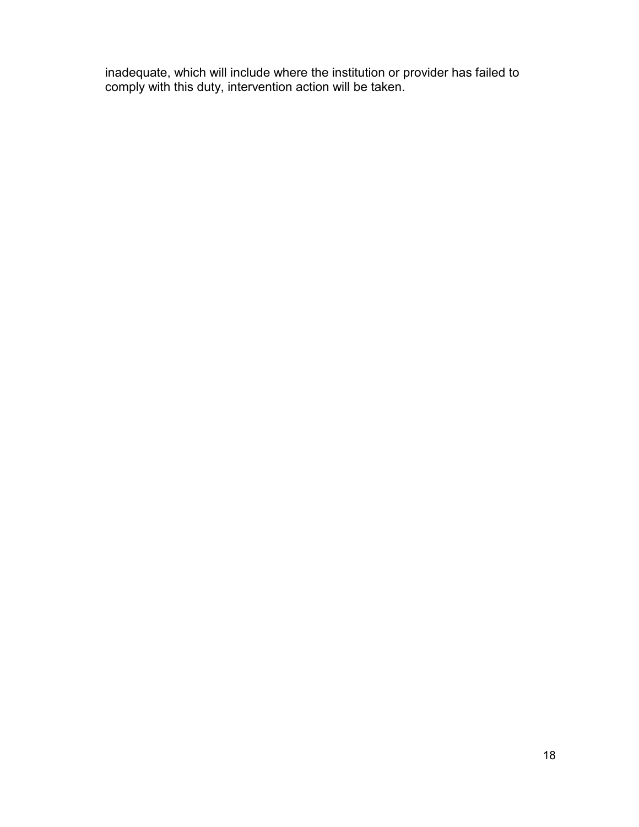inadequate, which will include where the institution or provider has failed to comply with this duty, intervention action will be taken.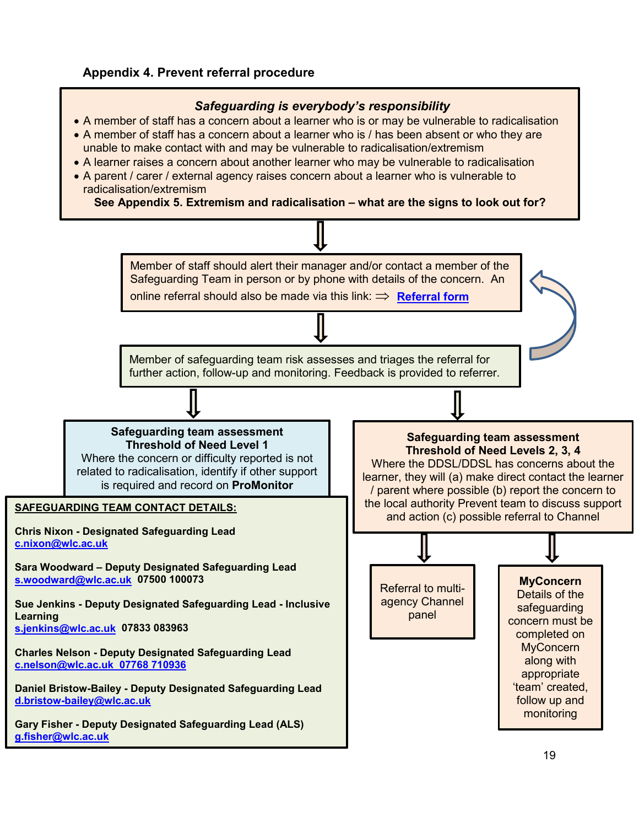#### **Appendix 4. Prevent referral procedure**